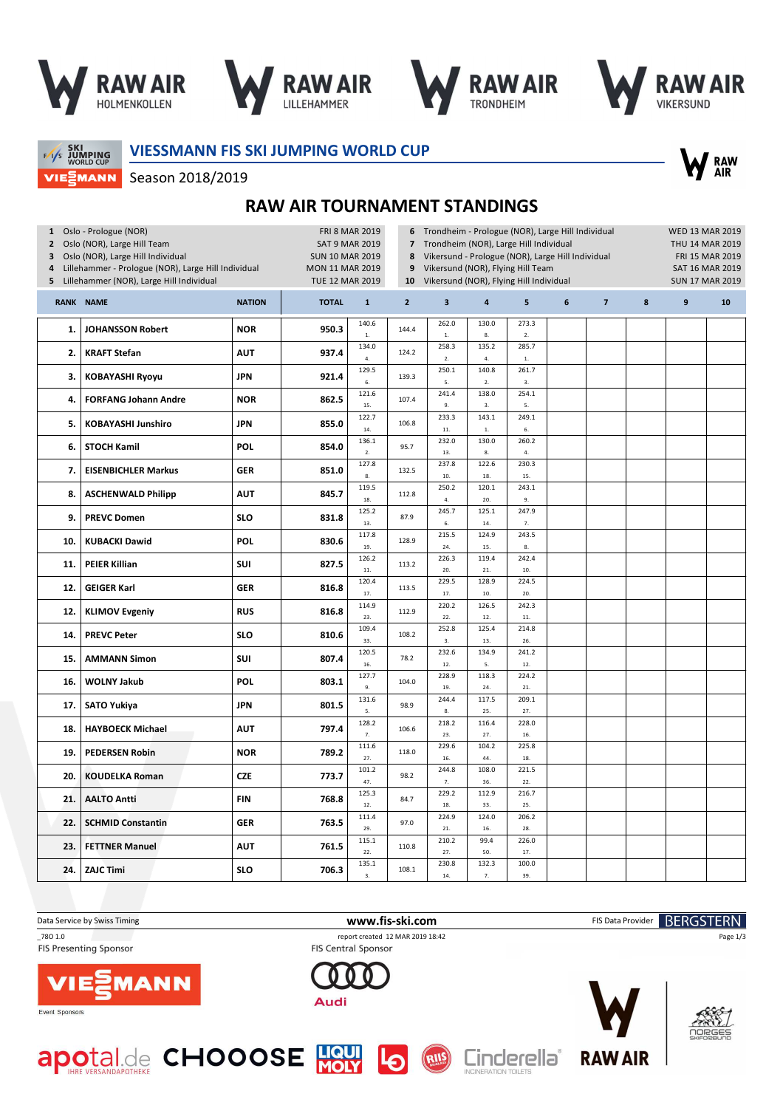

Season 2018/2019







SKI<br>JUMPING<br>WORLD CUP VIEZMANN **VIESSMANN FIS SKI JUMPING WORLD CUP**



**RAW AIR TOURNAMENT STANDINGS**

| 1 Oslo - Prologue (NOR)<br>Oslo (NOR), Large Hill Team<br>$\mathbf{2}$<br>Oslo (NOR), Large Hill Individual<br>3<br>Lillehammer - Prologue (NOR), Large Hill Individual<br>4<br>Lillehammer (NOR), Large Hill Individual<br>5 |                             |               |              | <b>FRI 8 MAR 2019</b><br><b>SAT 9 MAR 2019</b><br><b>SUN 10 MAR 2019</b><br><b>MON 11 MAR 2019</b><br>TUE 12 MAR 2019 |                | Trondheim - Prologue (NOR), Large Hill Individual<br>Trondheim (NOR), Large Hill Individual<br>Vikersund - Prologue (NOR), Large Hill Individual<br>Vikersund (NOR), Flying Hill Team<br>Vikersund (NOR), Flying Hill Individual |                           | <b>WED 13 MAR 2019</b><br>THU 14 MAR 2019<br>FRI 15 MAR 2019<br><b>SAT 16 MAR 2019</b><br><b>SUN 17 MAR 2019</b> |   |                |   |                |    |
|-------------------------------------------------------------------------------------------------------------------------------------------------------------------------------------------------------------------------------|-----------------------------|---------------|--------------|-----------------------------------------------------------------------------------------------------------------------|----------------|----------------------------------------------------------------------------------------------------------------------------------------------------------------------------------------------------------------------------------|---------------------------|------------------------------------------------------------------------------------------------------------------|---|----------------|---|----------------|----|
|                                                                                                                                                                                                                               | <b>RANK NAME</b>            | <b>NATION</b> | <b>TOTAL</b> | $\mathbf{1}$                                                                                                          | $\overline{2}$ | $\overline{\mathbf{3}}$                                                                                                                                                                                                          | $\overline{4}$            | 5                                                                                                                | 6 | $\overline{7}$ | 8 | $\overline{9}$ | 10 |
| 1.                                                                                                                                                                                                                            | <b>JOHANSSON Robert</b>     | <b>NOR</b>    | 950.3        | 140.6<br>$1. \,$                                                                                                      | 144.4          | 262.0<br>$1. \,$                                                                                                                                                                                                                 | 130.0<br>8.               | 273.3<br>2.                                                                                                      |   |                |   |                |    |
| 2.                                                                                                                                                                                                                            | <b>KRAFT Stefan</b>         | <b>AUT</b>    | 937.4        | 134.0<br>4.                                                                                                           | 124.2          | 258.3<br>2.                                                                                                                                                                                                                      | 135.2<br>$\overline{4}$ . | 285.7<br>$\mathbf{1}.$                                                                                           |   |                |   |                |    |
| 3.                                                                                                                                                                                                                            | <b>KOBAYASHI Ryoyu</b>      | <b>JPN</b>    | 921.4        | 129.5<br>6.                                                                                                           | 139.3          | 250.1<br>5.                                                                                                                                                                                                                      | 140.8<br>$2.$             | 261.7<br>3.                                                                                                      |   |                |   |                |    |
| 4.                                                                                                                                                                                                                            | <b>FORFANG Johann Andre</b> | <b>NOR</b>    | 862.5        | 121.6<br>15.                                                                                                          | 107.4          | 241.4<br>9.                                                                                                                                                                                                                      | 138.0<br>3.               | 254.1<br>5.                                                                                                      |   |                |   |                |    |
| 5.                                                                                                                                                                                                                            | <b>KOBAYASHI Junshiro</b>   | <b>JPN</b>    | 855.0        | 122.7<br>14.                                                                                                          | 106.8          | 233.3<br>$11.$                                                                                                                                                                                                                   | 143.1<br>$\bar{1}$        | 249.1<br>6.                                                                                                      |   |                |   |                |    |
| 6.                                                                                                                                                                                                                            | <b>STOCH Kamil</b>          | <b>POL</b>    | 854.0        | 136.1<br>2.                                                                                                           | 95.7           | 232.0<br>13.                                                                                                                                                                                                                     | 130.0<br>$\bf 8.$         | 260.2<br>4.                                                                                                      |   |                |   |                |    |
| 7.                                                                                                                                                                                                                            | <b>EISENBICHLER Markus</b>  | <b>GER</b>    | 851.0        | 127.8<br>8.                                                                                                           | 132.5          | 237.8<br>10.                                                                                                                                                                                                                     | 122.6<br>18.              | 230.3<br>15.                                                                                                     |   |                |   |                |    |
| 8.                                                                                                                                                                                                                            | <b>ASCHENWALD Philipp</b>   | <b>AUT</b>    | 845.7        | 119.5<br>18.                                                                                                          | 112.8          | 250.2<br>$\overline{4}$ .                                                                                                                                                                                                        | 120.1<br>20.              | 243.1<br>9.                                                                                                      |   |                |   |                |    |
| 9.                                                                                                                                                                                                                            | <b>PREVC Domen</b>          | <b>SLO</b>    | 831.8        | 125.2<br>13.                                                                                                          | 87.9           | 245.7<br>6.                                                                                                                                                                                                                      | 125.1<br>14.              | 247.9<br>7.                                                                                                      |   |                |   |                |    |
| 10.                                                                                                                                                                                                                           | <b>KUBACKI Dawid</b>        | <b>POL</b>    | 830.6        | 117.8<br>19.                                                                                                          | 128.9          | 215.5<br>24.                                                                                                                                                                                                                     | 124.9<br>15.              | 243.5<br>8.                                                                                                      |   |                |   |                |    |
| 11.                                                                                                                                                                                                                           | <b>PEIER Killian</b>        | SUI           | 827.5        | 126.2<br>$11.$                                                                                                        | 113.2          | 226.3<br>20.                                                                                                                                                                                                                     | 119.4<br>21.              | 242.4<br>10.                                                                                                     |   |                |   |                |    |
| 12.                                                                                                                                                                                                                           | <b>GEIGER Karl</b>          | <b>GER</b>    | 816.8        | 120.4<br>17.                                                                                                          | 113.5          | 229.5<br>17.                                                                                                                                                                                                                     | 128.9<br>10.              | 224.5<br>20.                                                                                                     |   |                |   |                |    |
| 12.                                                                                                                                                                                                                           | <b>KLIMOV Evgeniy</b>       | <b>RUS</b>    | 816.8        | 114.9<br>23.                                                                                                          | 112.9          | 220.2<br>22.                                                                                                                                                                                                                     | 126.5<br>12.              | 242.3<br>11.                                                                                                     |   |                |   |                |    |
| 14.                                                                                                                                                                                                                           | <b>PREVC Peter</b>          | <b>SLO</b>    | 810.6        | 109.4<br>33.                                                                                                          | 108.2          | 252.8<br>3.                                                                                                                                                                                                                      | 125.4<br>13.              | 214.8<br>26.                                                                                                     |   |                |   |                |    |
| 15.                                                                                                                                                                                                                           | <b>AMMANN Simon</b>         | SUI           | 807.4        | 120.5<br>16.                                                                                                          | 78.2           | 232.6<br>12.                                                                                                                                                                                                                     | 134.9<br>5.               | 241.2<br>12.                                                                                                     |   |                |   |                |    |
| 16.                                                                                                                                                                                                                           | <b>WOLNY Jakub</b>          | <b>POL</b>    | 803.1        | 127.7<br>9.                                                                                                           | 104.0          | 228.9<br>19.                                                                                                                                                                                                                     | 118.3<br>24.              | 224.2<br>21.                                                                                                     |   |                |   |                |    |
| 17.                                                                                                                                                                                                                           | <b>SATO Yukiya</b>          | <b>JPN</b>    | 801.5        | 131.6<br>5.                                                                                                           | 98.9           | 244.4<br>8.                                                                                                                                                                                                                      | 117.5<br>25.              | 209.1<br>27.                                                                                                     |   |                |   |                |    |
| 18.                                                                                                                                                                                                                           | <b>HAYBOECK Michael</b>     | <b>AUT</b>    | 797.4        | 128.2<br>7.                                                                                                           | 106.6          | 218.2<br>23.                                                                                                                                                                                                                     | 116.4<br>27.              | 228.0<br>16.                                                                                                     |   |                |   |                |    |
| 19.                                                                                                                                                                                                                           | <b>PEDERSEN Robin</b>       | <b>NOR</b>    | 789.2        | 111.6<br>27.                                                                                                          | 118.0          | 229.6<br>16.                                                                                                                                                                                                                     | 104.2<br>44.              | 225.8<br>18.                                                                                                     |   |                |   |                |    |
| 20.                                                                                                                                                                                                                           | <b>KOUDELKA Roman</b>       | <b>CZE</b>    | 773.7        | 101.2<br>47.                                                                                                          | 98.2           | 244.8<br>7.                                                                                                                                                                                                                      | 108.0<br>36.              | 221.5<br>22.                                                                                                     |   |                |   |                |    |
| 21.                                                                                                                                                                                                                           | <b>AALTO Antti</b>          | <b>FIN</b>    | 768.8        | 125.3<br>12.                                                                                                          | 84.7           | 229.2<br>18.                                                                                                                                                                                                                     | 112.9<br>33.              | 216.7<br>25.                                                                                                     |   |                |   |                |    |
| 22.                                                                                                                                                                                                                           | <b>SCHMID Constantin</b>    | <b>GER</b>    | 763.5        | 111.4<br>29.                                                                                                          | 97.0           | 224.9<br>$21.$                                                                                                                                                                                                                   | 124.0<br>16.              | 206.2<br>28.                                                                                                     |   |                |   |                |    |
| 23.                                                                                                                                                                                                                           | <b>FETTNER Manuel</b>       | <b>AUT</b>    | 761.5        | 115.1<br>22.                                                                                                          | 110.8          | 210.2<br>27.                                                                                                                                                                                                                     | 99.4<br>50.               | 226.0<br>17.                                                                                                     |   |                |   |                |    |
| 24.                                                                                                                                                                                                                           | <b>ZAJC Timi</b>            | <b>SLO</b>    | 706.3        | 135.1<br>3.                                                                                                           | 108.1          | 230.8<br>14.                                                                                                                                                                                                                     | 132.3<br>7.               | 100.0<br>39.                                                                                                     |   |                |   |                |    |

**FIS Presenting Sponsor** 

\_78O 1.0 report created 12 MAR 2019 18:42 FIS Central Sponsor

RIIS

Audi



Event Sponsors







Page 1/3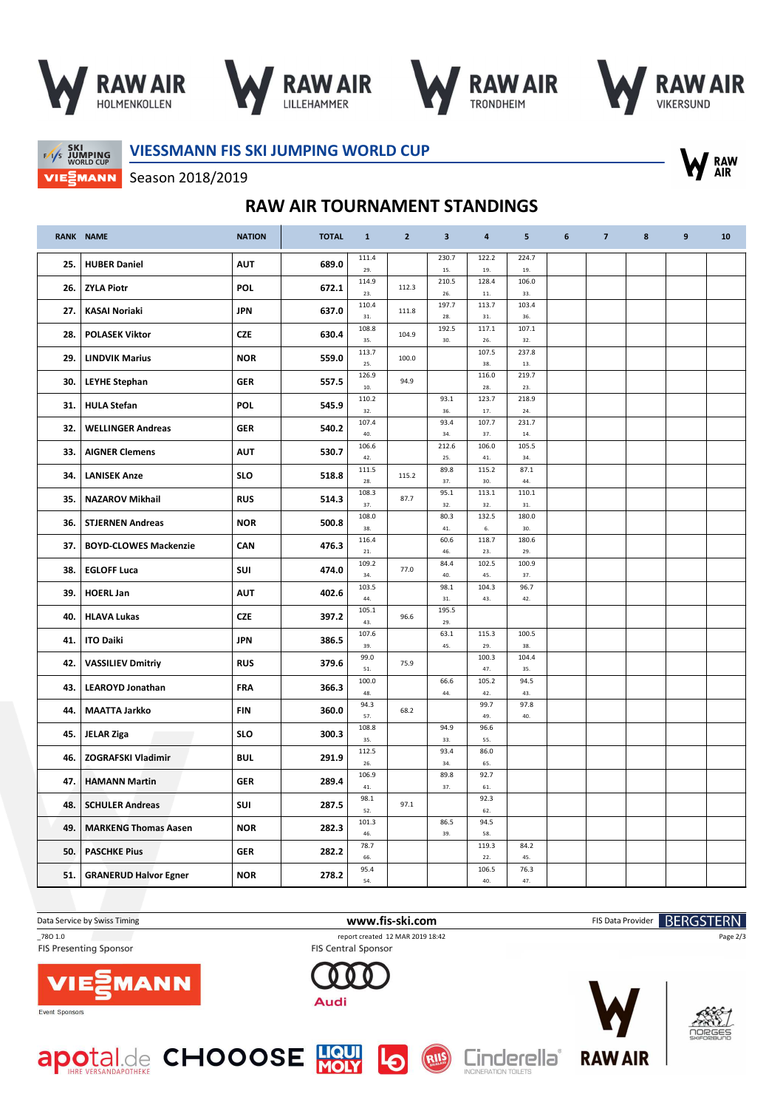







**SKI<br>F/I/S JUMPING**<br>WORLD CUP VIEZMANN **VIESSMANN FIS SKI JUMPING WORLD CUP**



Season 2018/2019

## **RAW AIR TOURNAMENT STANDINGS**

|     | <b>RANK NAME</b>             | <b>NATION</b> | <b>TOTAL</b> | $\mathbf{1}$ | $\overline{2}$ | $\overline{\mathbf{3}}$ | 4            | 5            | 6 | $\overline{7}$ | 8 | $\boldsymbol{9}$ | 10 |
|-----|------------------------------|---------------|--------------|--------------|----------------|-------------------------|--------------|--------------|---|----------------|---|------------------|----|
| 25. | <b>HUBER Daniel</b>          | <b>AUT</b>    | 689.0        | 111.4<br>29. |                | 230.7<br>15.            | 122.2<br>19. | 224.7<br>19. |   |                |   |                  |    |
| 26. | <b>ZYLA Piotr</b>            | POL           | 672.1        | 114.9<br>23. | 112.3          | 210.5<br>26.            | 128.4<br>11. | 106.0<br>33. |   |                |   |                  |    |
| 27. | <b>KASAI Noriaki</b>         | <b>JPN</b>    | 637.0        | 110.4        | 111.8          | 197.7                   | 113.7        | 103.4        |   |                |   |                  |    |
| 28. | <b>POLASEK Viktor</b>        | <b>CZE</b>    | 630.4        | 31.<br>108.8 | 104.9          | 28.<br>192.5            | 31.<br>117.1 | 36.<br>107.1 |   |                |   |                  |    |
|     |                              | <b>NOR</b>    | 559.0        | 35.<br>113.7 | 100.0          | 30.                     | 26.<br>107.5 | 32.<br>237.8 |   |                |   |                  |    |
| 29. | <b>LINDVIK Marius</b>        |               |              | 25.<br>126.9 |                |                         | 38.<br>116.0 | 13.<br>219.7 |   |                |   |                  |    |
| 30. | <b>LEYHE Stephan</b>         | <b>GER</b>    | 557.5        | 10.<br>110.2 | 94.9           | 93.1                    | 28.<br>123.7 | 23.<br>218.9 |   |                |   |                  |    |
| 31. | <b>HULA Stefan</b>           | POL           | 545.9        | 32.          |                | 36.                     | 17.          | 24.          |   |                |   |                  |    |
| 32. | <b>WELLINGER Andreas</b>     | <b>GER</b>    | 540.2        | 107.4<br>40. |                | 93.4<br>34.             | 107.7<br>37. | 231.7<br>14. |   |                |   |                  |    |
| 33. | <b>AIGNER Clemens</b>        | <b>AUT</b>    | 530.7        | 106.6<br>42. |                | 212.6<br>25.            | 106.0<br>41. | 105.5<br>34. |   |                |   |                  |    |
| 34. | <b>LANISEK Anze</b>          | <b>SLO</b>    | 518.8        | 111.5<br>28. | 115.2          | 89.8<br>37.             | 115.2<br>30. | 87.1<br>44.  |   |                |   |                  |    |
| 35. | <b>NAZAROV Mikhail</b>       | <b>RUS</b>    | 514.3        | 108.3<br>37. | 87.7           | 95.1<br>32.             | 113.1<br>32. | 110.1<br>31. |   |                |   |                  |    |
| 36. | <b>STJERNEN Andreas</b>      | <b>NOR</b>    | 500.8        | 108.0<br>38. |                | 80.3<br>41.             | 132.5<br>6.  | 180.0<br>30. |   |                |   |                  |    |
| 37. | <b>BOYD-CLOWES Mackenzie</b> | CAN           | 476.3        | 116.4<br>21. |                | 60.6<br>46.             | 118.7<br>23. | 180.6<br>29. |   |                |   |                  |    |
| 38. | <b>EGLOFF Luca</b>           | SUI           | 474.0        | 109.2        | 77.0           | 84.4                    | 102.5        | 100.9        |   |                |   |                  |    |
| 39. | <b>HOERL Jan</b>             | <b>AUT</b>    | 402.6        | 34.<br>103.5 |                | 40.<br>98.1             | 45.<br>104.3 | 37.<br>96.7  |   |                |   |                  |    |
| 40. | <b>HLAVA Lukas</b>           | <b>CZE</b>    | 397.2        | 44.<br>105.1 | 96.6           | 31.<br>195.5            | 43.          | 42.          |   |                |   |                  |    |
|     |                              |               |              | 43.<br>107.6 |                | 29.<br>63.1             | 115.3        | 100.5        |   |                |   |                  |    |
| 41. | <b>ITO Daiki</b>             | <b>JPN</b>    | 386.5        | 39.<br>99.0  |                | 45.                     | 29.<br>100.3 | 38.<br>104.4 |   |                |   |                  |    |
| 42. | <b>VASSILIEV Dmitriy</b>     | <b>RUS</b>    | 379.6        | 51.<br>100.0 | 75.9           | 66.6                    | 47.<br>105.2 | 35.<br>94.5  |   |                |   |                  |    |
| 43. | <b>LEAROYD Jonathan</b>      | FRA           | 366.3        | 48.<br>94.3  |                | 44.                     | 42.<br>99.7  | 43.<br>97.8  |   |                |   |                  |    |
| 44. | <b>MAATTA Jarkko</b>         | FIN           | 360.0        | 57.          | 68.2           |                         | 49.          | 40.          |   |                |   |                  |    |
| 45. | <b>JELAR Ziga</b>            | <b>SLO</b>    | 300.3        | 108.8<br>35. |                | 94.9<br>33.             | 96.6<br>55.  |              |   |                |   |                  |    |
| 46. | <b>ZOGRAFSKI Vladimir</b>    | <b>BUL</b>    | 291.9        | 112.5<br>26. |                | 93.4<br>34.             | 86.0<br>65.  |              |   |                |   |                  |    |
| 47. | <b>HAMANN Martin</b>         | <b>GER</b>    | 289.4        | 106.9<br>41. |                | 89.8<br>37.             | 92.7<br>61.  |              |   |                |   |                  |    |
| 48. | <b>SCHULER Andreas</b>       | SUI           | 287.5        | 98.1<br>52.  | 97.1           |                         | 92.3<br>62.  |              |   |                |   |                  |    |
| 49. | <b>MARKENG Thomas Aasen</b>  | <b>NOR</b>    | 282.3        | 101.3<br>46. |                | 86.5<br>39.             | 94.5<br>58.  |              |   |                |   |                  |    |
| 50. | <b>PASCHKE Pius</b>          | <b>GER</b>    | 282.2        | 78.7         |                |                         | 119.3        | 84.2         |   |                |   |                  |    |
| 51. | <b>GRANERUD Halvor Egner</b> | <b>NOR</b>    | 278.2        | 66.<br>95.4  |                |                         | 22.<br>106.5 | 45.<br>76.3  |   |                |   |                  |    |
|     |                              |               |              | 54.          |                |                         | 40.          | 47.          |   |                |   |                  |    |

**FIS Presenting Sponsor** 

Data Service by Swiss Timing **WWW.Fis-Ski.com www.fis-ski.com** FIS Data Provider **BERGSTERN** \_78O 1.0 report created 12 MAR 2019 18:42

RIIS





FIS Central Sponsor







Page 2/3

Event Sponsors



Cinderella<sup>®</sup>